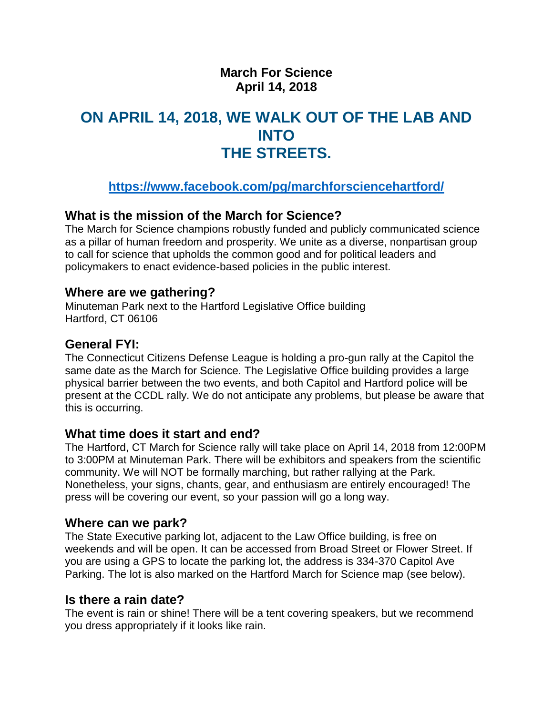## **March For Science April 14, 2018**

# **ON APRIL 14, 2018, WE WALK OUT OF THE LAB AND INTO THE STREETS.**

# **<https://www.facebook.com/pg/marchforsciencehartford/>**

## **What is the mission of the March for Science?**

The March for Science champions robustly funded and publicly communicated science as a pillar of human freedom and prosperity. We unite as a diverse, nonpartisan group to call for science that upholds the common good and for political leaders and policymakers to enact evidence-based policies in the public interest.

## **Where are we gathering?**

Minuteman Park next to the Hartford Legislative Office building Hartford, CT 06106

## **General FYI:**

The Connecticut Citizens Defense League is holding a pro-gun rally at the Capitol the same date as the March for Science. The Legislative Office building provides a large physical barrier between the two events, and both Capitol and Hartford police will be present at the CCDL rally. We do not anticipate any problems, but please be aware that this is occurring.

## **What time does it start and end?**

The Hartford, CT March for Science rally will take place on April 14, 2018 from 12:00PM to 3:00PM at Minuteman Park. There will be exhibitors and speakers from the scientific community. We will NOT be formally marching, but rather rallying at the Park. Nonetheless, your signs, chants, gear, and enthusiasm are entirely encouraged! The press will be covering our event, so your passion will go a long way.

## **Where can we park?**

The State Executive parking lot, adjacent to the Law Office building, is free on weekends and will be open. It can be accessed from Broad Street or Flower Street. If you are using a GPS to locate the parking lot, the address is 334-370 Capitol Ave Parking. The lot is also marked on the Hartford March for Science map (see below).

## **Is there a rain date?**

The event is rain or shine! There will be a tent covering speakers, but we recommend you dress appropriately if it looks like rain.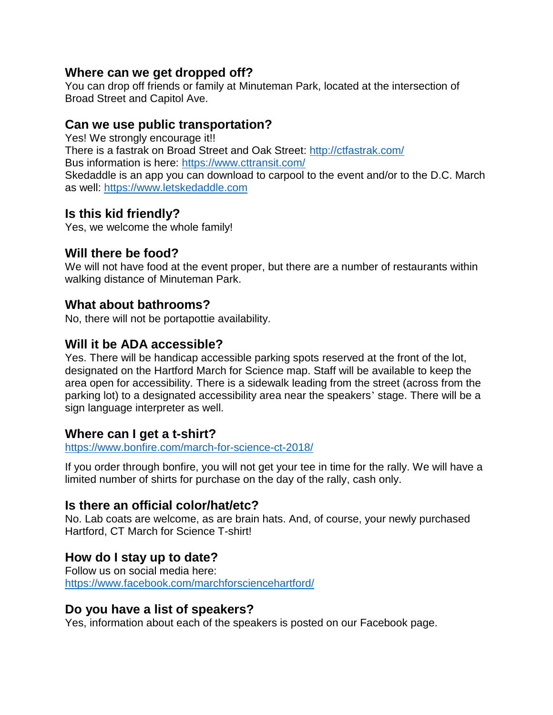#### **Where can we get dropped off?**

You can drop off friends or family at Minuteman Park, located at the intersection of Broad Street and Capitol Ave.

## **Can we use public transportation?**

Yes! We strongly encourage it!! There is a fastrak on Broad Street and Oak Street:<http://ctfastrak.com/> Bus information is here:<https://www.cttransit.com/> Skedaddle is an app you can download to carpool to the event and/or to the D.C. March as well: [https://www.letskedaddle.com](https://www.letskedaddle.com/)

## **Is this kid friendly?**

Yes, we welcome the whole family!

## **Will there be food?**

We will not have food at the event proper, but there are a number of restaurants within walking distance of Minuteman Park.

## **What about bathrooms?**

No, there will not be portapottie availability.

## **Will it be ADA accessible?**

Yes. There will be handicap accessible parking spots reserved at the front of the lot, designated on the Hartford March for Science map. Staff will be available to keep the area open for accessibility. There is a sidewalk leading from the street (across from the parking lot) to a designated accessibility area near the speakers' stage. There will be a sign language interpreter as well.

## **Where can I get a t-shirt?**

<https://www.bonfire.com/march-for-science-ct-2018/>

If you order through bonfire, you will not get your tee in time for the rally. We will have a limited number of shirts for purchase on the day of the rally, cash only.

## **Is there an official color/hat/etc?**

No. Lab coats are welcome, as are brain hats. And, of course, your newly purchased Hartford, CT March for Science T-shirt!

## **How do I stay up to date?**

Follow us on social media here: <https://www.facebook.com/marchforsciencehartford/>

## **Do you have a list of speakers?**

Yes, information about each of the speakers is posted on our Facebook page.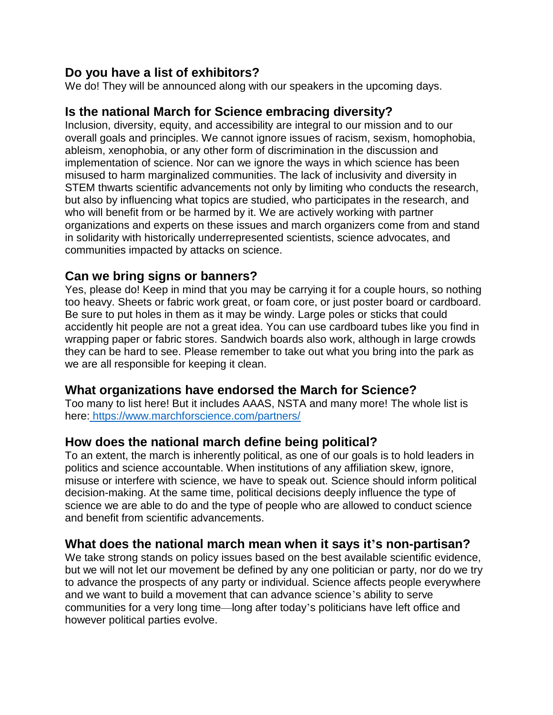## **Do you have a list of exhibitors?**

We do! They will be announced along with our speakers in the upcoming days.

## **Is the national March for Science embracing diversity?**

Inclusion, diversity, equity, and accessibility are integral to our mission and to our overall goals and principles. We cannot ignore issues of racism, sexism, homophobia, ableism, xenophobia, or any other form of discrimination in the discussion and implementation of science. Nor can we ignore the ways in which science has been misused to harm marginalized communities. The lack of inclusivity and diversity in STEM thwarts scientific advancements not only by limiting who conducts the research, but also by influencing what topics are studied, who participates in the research, and who will benefit from or be harmed by it. We are actively working with partner organizations and experts on these issues and march organizers come from and stand in solidarity with historically underrepresented scientists, science advocates, and communities impacted by attacks on science.

## **Can we bring signs or banners?**

Yes, please do! Keep in mind that you may be carrying it for a couple hours, so nothing too heavy. Sheets or fabric work great, or foam core, or just poster board or cardboard. Be sure to put holes in them as it may be windy. Large poles or sticks that could accidently hit people are not a great idea. You can use cardboard tubes like you find in wrapping paper or fabric stores. Sandwich boards also work, although in large crowds they can be hard to see. Please remember to take out what you bring into the park as we are all responsible for keeping it clean.

## **What organizations have endorsed the March for Science?**

Too many to list here! But it includes AAAS, NSTA and many more! The whole list is here: <https://www.marchforscience.com/partners/>

## **How does the national march define being political?**

To an extent, the march is inherently political, as one of our goals is to hold leaders in politics and science accountable. When institutions of any affiliation skew, ignore, misuse or interfere with science, we have to speak out. Science should inform political decision-making. At the same time, political decisions deeply influence the type of science we are able to do and the type of people who are allowed to conduct science and benefit from scientific advancements.

## **What does the national march mean when it says it's non-partisan?**

We take strong stands on policy issues based on the best available scientific evidence, but we will not let our movement be defined by any one politician or party, nor do we try to advance the prospects of any party or individual. Science affects people everywhere and we want to build a movement that can advance science's ability to serve communities for a very long time—long after today's politicians have left office and however political parties evolve.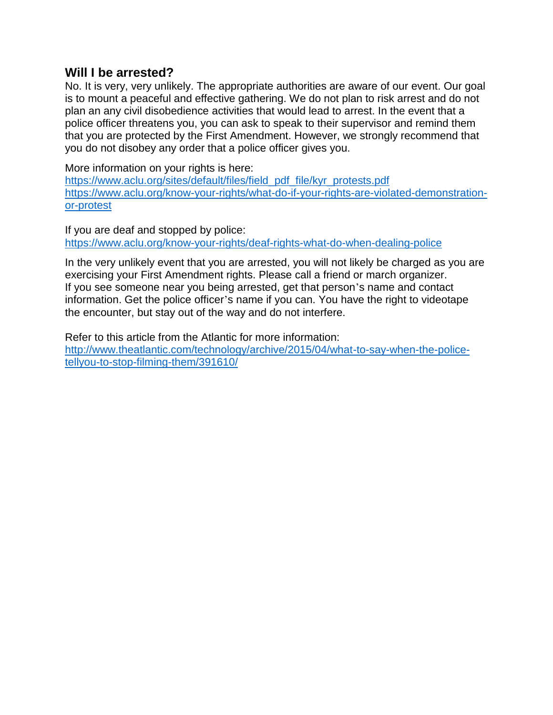#### **Will I be arrested?**

No. It is very, very unlikely. The appropriate authorities are aware of our event. Our goal is to mount a peaceful and effective gathering. We do not plan to risk arrest and do not plan an any civil disobedience activities that would lead to arrest. In the event that a police officer threatens you, you can ask to speak to their supervisor and remind them that you are protected by the First Amendment. However, we strongly recommend that you do not disobey any order that a police officer gives you.

More information on your rights is here: [https://www.aclu.org/sites/default/files/field\\_pdf\\_file/kyr\\_protests.pdf](https://www.aclu.org/sites/default/files/field_pdf_file/kyr_protests.pdf) [https://www.aclu.org/know-your-rights/what-do-if-your-rights-are-violated-demonstration](https://www.aclu.org/know-your-rights/what-do-if-your-rights-are-violated-demonstration-or-protest)[or-protest](https://www.aclu.org/know-your-rights/what-do-if-your-rights-are-violated-demonstration-or-protest)

If you are deaf and stopped by police: <https://www.aclu.org/know-your-rights/deaf-rights-what-do-when-dealing-police>

In the very unlikely event that you are arrested, you will not likely be charged as you are exercising your First Amendment rights. Please call a friend or march organizer. If you see someone near you being arrested, get that person's name and contact information. Get the police officer's name if you can. You have the right to videotape the encounter, but stay out of the way and do not interfere.

Refer to this article from the Atlantic for more information: [http://www.theatlantic.com/technology/archive/2015/04/what-to-say-when-the-police](http://www.theatlantic.com/technology/archive/2015/04/what-to-say-when-the-police-tellyou-to-stop-filming-them/391610/)[tellyou-to-stop-filming-them/391610/](http://www.theatlantic.com/technology/archive/2015/04/what-to-say-when-the-police-tellyou-to-stop-filming-them/391610/)